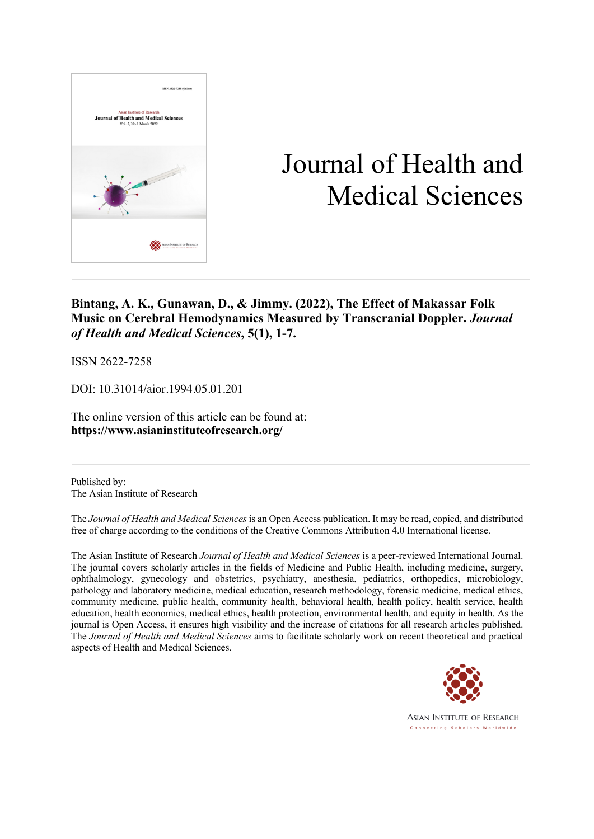

# Journal of Health and Medical Sciences

**Bintang, A. K., Gunawan, D., & Jimmy. (2022), The Effect of Makassar Folk Music on Cerebral Hemodynamics Measured by Transcranial Doppler.** *Journal of Health and Medical Sciences***, 5(1), 1-7.**

ISSN 2622-7258

DOI: 10.31014/aior.1994.05.01.201

The online version of this article can be found at: **https://www.asianinstituteofresearch.org/**

Published by: The Asian Institute of Research

The *Journal of Health and Medical Sciences* is an Open Access publication. It may be read, copied, and distributed free of charge according to the conditions of the Creative Commons Attribution 4.0 International license.

The Asian Institute of Research *Journal of Health and Medical Sciences* is a peer-reviewed International Journal. The journal covers scholarly articles in the fields of Medicine and Public Health, including medicine, surgery, ophthalmology, gynecology and obstetrics, psychiatry, anesthesia, pediatrics, orthopedics, microbiology, pathology and laboratory medicine, medical education, research methodology, forensic medicine, medical ethics, community medicine, public health, community health, behavioral health, health policy, health service, health education, health economics, medical ethics, health protection, environmental health, and equity in health. As the journal is Open Access, it ensures high visibility and the increase of citations for all research articles published. The *Journal of Health and Medical Sciences* aims to facilitate scholarly work on recent theoretical and practical aspects of Health and Medical Sciences.



**ASIAN INSTITUTE OF RESEARCH** Connecting Scholars Worldwide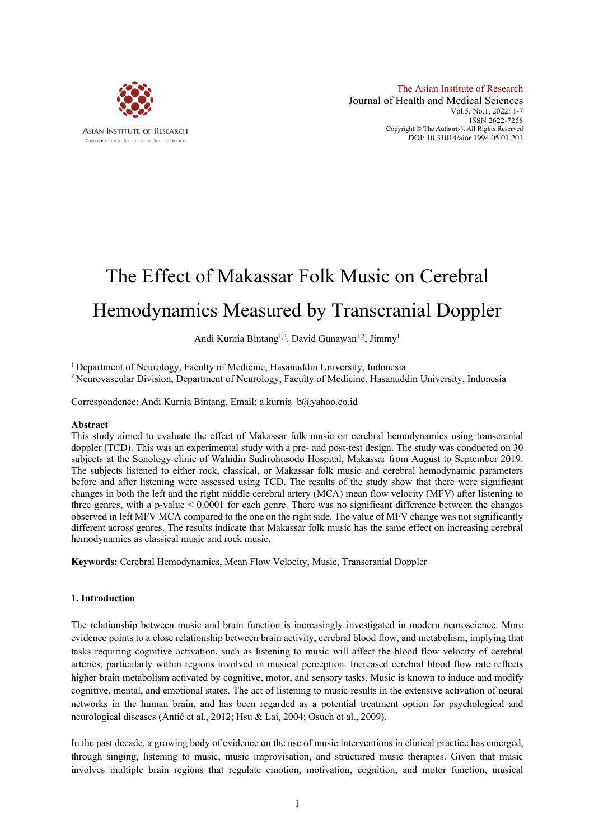

## The Effect of Makassar Folk Music on Cerebral Hemodynamics Measured by Transcranial Doppler

## Andi Kurnia Bintang<sup>1,2</sup>, David Gunawan<sup>1,2</sup>, Jimmy<sup>1</sup>

<sup>1</sup> Department of Neurology, Faculty of Medicine, Hasanuddin University, Indonesia

<sup>2</sup> Neurovascular Division, Department of Neurology, Faculty of Medicine, Hasanuddin University, Indonesia

Correspondence: Andi Kurnia Bintang. Email: a.kurnia\_b@yahoo.co.id

#### **Abstract**

This study aimed to evaluate the effect of Makassar folk music on cerebral hemodynamics using transcranial doppler (TCD). This was an experimental study with a pre- and post-test design. The study was conducted on 30 subjects at the Sonology clinic of Wahidin Sudirohusodo Hospital, Makassar from August to September 2019. The subjects listened to either rock, classical, or Makassar folk music and cerebral hemodynamic parameters before and after listening were assessed using TCD. The results of the study show that there were significant changes in both the left and the right middle cerebral artery (MCA) mean flow velocity (MFV) after listening to three genres, with a p-value < 0.0001 for each genre. There was no significant difference between the changes observed in left MFV MCA compared to the one on the right side. The value of MFV change was not significantly different across genres. The results indicate that Makassar folk music has the same effect on increasing cerebral hemodynamics as classical music and rock music.

**Keywords:** Cerebral Hemodynamics, Mean Flow Velocity, Music, Transcranial Doppler

## **1. Introductio**n

The relationship between music and brain function is increasingly investigated in modern neuroscience. More evidence points to a close relationship between brain activity, cerebral blood flow, and metabolism, implying that tasks requiring cognitive activation, such as listening to music will affect the blood flow velocity of cerebral arteries, particularly within regions involved in musical perception. Increased cerebral blood flow rate reflects higher brain metabolism activated by cognitive, motor, and sensory tasks. Music is known to induce and modify cognitive, mental, and emotional states. The act of listening to music results in the extensive activation of neural networks in the human brain, and has been regarded as a potential treatment option for psychological and neurological diseases (Antić et al., 2012; Hsu & Lai, 2004; Osuch et al., 2009).

In the past decade, a growing body of evidence on the use of music interventions in clinical practice has emerged, through singing, listening to music, music improvisation, and structured music therapies. Given that music involves multiple brain regions that regulate emotion, motivation, cognition, and motor function, musical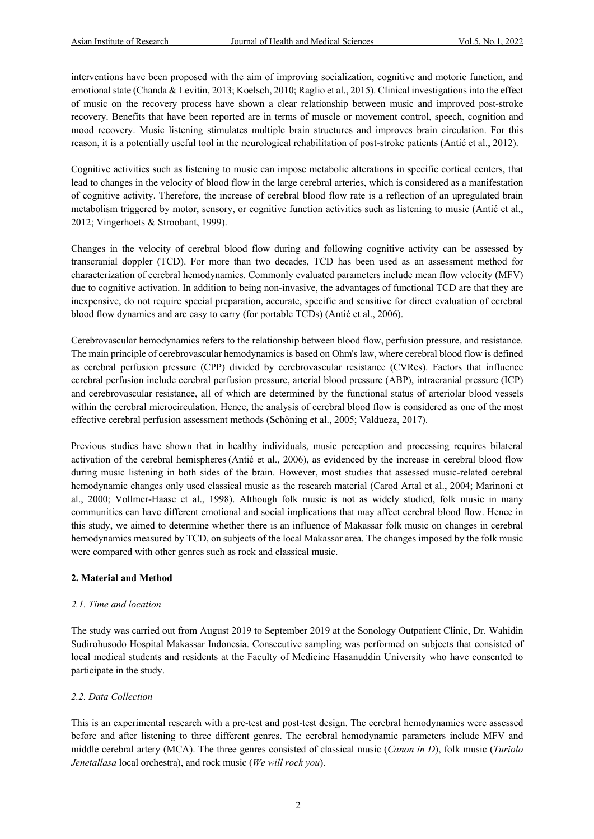interventions have been proposed with the aim of improving socialization, cognitive and motoric function, and emotional state (Chanda & Levitin, 2013; Koelsch, 2010; Raglio et al., 2015). Clinical investigations into the effect of music on the recovery process have shown a clear relationship between music and improved post-stroke recovery. Benefits that have been reported are in terms of muscle or movement control, speech, cognition and mood recovery. Music listening stimulates multiple brain structures and improves brain circulation. For this reason, it is a potentially useful tool in the neurological rehabilitation of post-stroke patients (Antić et al., 2012).

Cognitive activities such as listening to music can impose metabolic alterations in specific cortical centers, that lead to changes in the velocity of blood flow in the large cerebral arteries, which is considered as a manifestation of cognitive activity. Therefore, the increase of cerebral blood flow rate is a reflection of an upregulated brain metabolism triggered by motor, sensory, or cognitive function activities such as listening to music (Antić et al., 2012; Vingerhoets & Stroobant, 1999).

Changes in the velocity of cerebral blood flow during and following cognitive activity can be assessed by transcranial doppler (TCD). For more than two decades, TCD has been used as an assessment method for characterization of cerebral hemodynamics. Commonly evaluated parameters include mean flow velocity (MFV) due to cognitive activation. In addition to being non-invasive, the advantages of functional TCD are that they are inexpensive, do not require special preparation, accurate, specific and sensitive for direct evaluation of cerebral blood flow dynamics and are easy to carry (for portable TCDs) (Antić et al., 2006).

Cerebrovascular hemodynamics refers to the relationship between blood flow, perfusion pressure, and resistance. The main principle of cerebrovascular hemodynamics is based on Ohm's law, where cerebral blood flow is defined as cerebral perfusion pressure (CPP) divided by cerebrovascular resistance (CVRes). Factors that influence cerebral perfusion include cerebral perfusion pressure, arterial blood pressure (ABP), intracranial pressure (ICP) and cerebrovascular resistance, all of which are determined by the functional status of arteriolar blood vessels within the cerebral microcirculation. Hence, the analysis of cerebral blood flow is considered as one of the most effective cerebral perfusion assessment methods (Schöning et al., 2005; Valdueza, 2017).

Previous studies have shown that in healthy individuals, music perception and processing requires bilateral activation of the cerebral hemispheres (Antić et al., 2006), as evidenced by the increase in cerebral blood flow during music listening in both sides of the brain. However, most studies that assessed music-related cerebral hemodynamic changes only used classical music as the research material (Carod Artal et al., 2004; Marinoni et al., 2000; Vollmer-Haase et al., 1998). Although folk music is not as widely studied, folk music in many communities can have different emotional and social implications that may affect cerebral blood flow. Hence in this study, we aimed to determine whether there is an influence of Makassar folk music on changes in cerebral hemodynamics measured by TCD, on subjects of the local Makassar area. The changes imposed by the folk music were compared with other genres such as rock and classical music.

## **2. Material and Method**

## *2.1. Time and location*

The study was carried out from August 2019 to September 2019 at the Sonology Outpatient Clinic, Dr. Wahidin Sudirohusodo Hospital Makassar Indonesia. Consecutive sampling was performed on subjects that consisted of local medical students and residents at the Faculty of Medicine Hasanuddin University who have consented to participate in the study.

## *2.2. Data Collection*

This is an experimental research with a pre-test and post-test design. The cerebral hemodynamics were assessed before and after listening to three different genres. The cerebral hemodynamic parameters include MFV and middle cerebral artery (MCA). The three genres consisted of classical music (*Canon in D*), folk music (*Turiolo Jenetallasa* local orchestra), and rock music (*We will rock you*).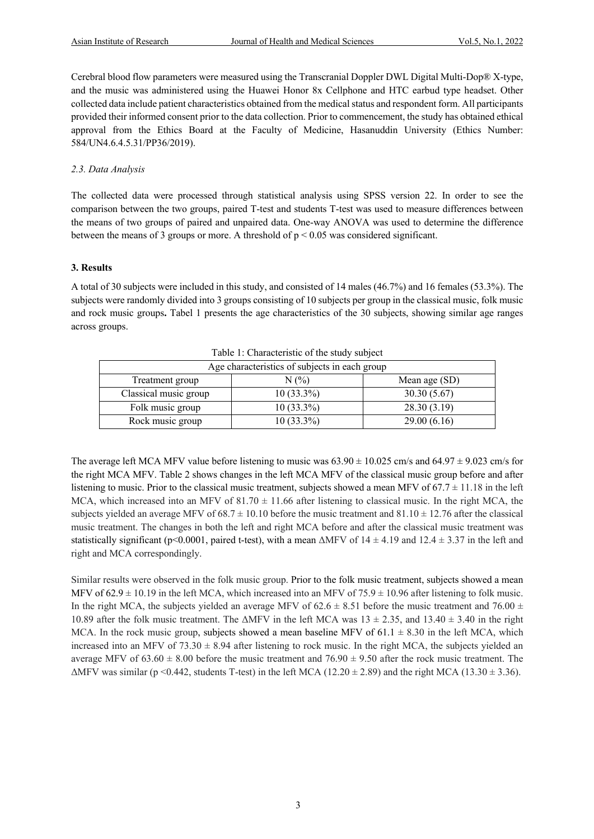Cerebral blood flow parameters were measured using the Transcranial Doppler DWL Digital Multi-Dop® X-type, and the music was administered using the Huawei Honor 8x Cellphone and HTC earbud type headset. Other collected data include patient characteristics obtained from the medical status and respondent form. All participants provided their informed consent prior to the data collection. Prior to commencement, the study has obtained ethical approval from the Ethics Board at the Faculty of Medicine, Hasanuddin University (Ethics Number: 584/UN4.6.4.5.31/PP36/2019).

## *2.3. Data Analysis*

The collected data were processed through statistical analysis using SPSS version 22. In order to see the comparison between the two groups, paired T-test and students T-test was used to measure differences between the means of two groups of paired and unpaired data. One-way ANOVA was used to determine the difference between the means of 3 groups or more. A threshold of  $p < 0.05$  was considered significant.

## **3. Results**

A total of 30 subjects were included in this study, and consisted of 14 males (46.7%) and 16 females (53.3%). The subjects were randomly divided into 3 groups consisting of 10 subjects per group in the classical music, folk music and rock music groups**.** Tabel 1 presents the age characteristics of the 30 subjects, showing similar age ranges across groups.

| Age characteristics of subjects in each group |              |               |  |
|-----------------------------------------------|--------------|---------------|--|
| Treatment group                               | $N(\%)$      | Mean age (SD) |  |
| Classical music group                         | $10(33.3\%)$ | 30.30(5.67)   |  |
| Folk music group                              | $10(33.3\%)$ | 28.30(3.19)   |  |
| Rock music group                              | $10(33.3\%)$ | 29.00(6.16)   |  |

Table 1: Characteristic of the study subject

The average left MCA MFV value before listening to music was  $63.90 \pm 10.025$  cm/s and  $64.97 \pm 9.023$  cm/s for the right MCA MFV. Table 2 shows changes in the left MCA MFV of the classical music group before and after listening to music. Prior to the classical music treatment, subjects showed a mean MFV of  $67.7 \pm 11.18$  in the left MCA, which increased into an MFV of  $81.70 \pm 11.66$  after listening to classical music. In the right MCA, the subjects yielded an average MFV of  $68.7 \pm 10.10$  before the music treatment and  $81.10 \pm 12.76$  after the classical music treatment. The changes in both the left and right MCA before and after the classical music treatment was statistically significant (p<0.0001, paired t-test), with a mean  $\triangle$ MFV of  $14 \pm 4.19$  and  $12.4 \pm 3.37$  in the left and right and MCA correspondingly.

Similar results were observed in the folk music group. Prior to the folk music treatment, subjects showed a mean MFV of  $62.9 \pm 10.19$  in the left MCA, which increased into an MFV of 75.9  $\pm$  10.96 after listening to folk music. In the right MCA, the subjects yielded an average MFV of  $62.6 \pm 8.51$  before the music treatment and 76.00  $\pm$ 10.89 after the folk music treatment. The  $\triangle M FV$  in the left MCA was  $13 \pm 2.35$ , and  $13.40 \pm 3.40$  in the right MCA. In the rock music group, subjects showed a mean baseline MFV of  $61.1 \pm 8.30$  in the left MCA, which increased into an MFV of  $73.30 \pm 8.94$  after listening to rock music. In the right MCA, the subjects yielded an average MFV of  $63.60 \pm 8.00$  before the music treatment and  $76.90 \pm 9.50$  after the rock music treatment. The  $\triangle$ MFV was similar (p <0.442, students T-test) in the left MCA (12.20  $\pm$  2.89) and the right MCA (13.30  $\pm$  3.36).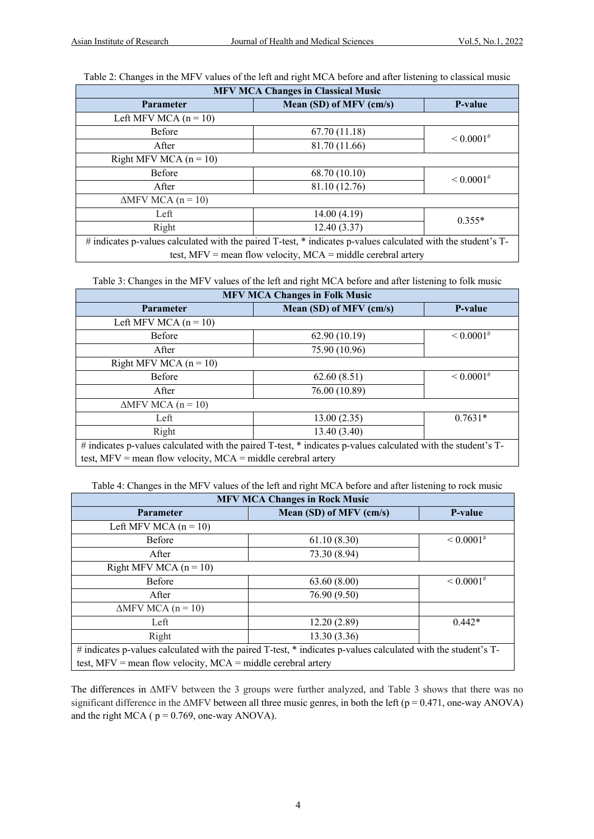Table 2: Changes in the MFV values of the left and right MCA before and after listening to classical music

| <b>MFV MCA Changes in Classical Music</b>                                                                     |                         |                   |  |
|---------------------------------------------------------------------------------------------------------------|-------------------------|-------------------|--|
| <b>Parameter</b>                                                                                              | Mean (SD) of MFV (cm/s) |                   |  |
| Left MFV MCA $(n = 10)$                                                                                       |                         |                   |  |
| <b>Before</b>                                                                                                 | 67.70 (11.18)           | $\leq 0.0001^{#}$ |  |
| After                                                                                                         | 81.70 (11.66)           |                   |  |
| Right MFV MCA $(n = 10)$                                                                                      |                         |                   |  |
| <b>Before</b>                                                                                                 | 68.70 (10.10)           | $\leq 0.0001^{#}$ |  |
| After                                                                                                         | 81.10 (12.76)           |                   |  |
| $\triangle$ MFV MCA (n = 10)                                                                                  |                         |                   |  |
| Left                                                                                                          | 14.00(4.19)             | $0.355*$          |  |
| Right                                                                                                         | 12.40(3.37)             |                   |  |
| # indicates p-values calculated with the paired T-test, * indicates p-values calculated with the student's T- |                         |                   |  |

test, MFV = mean flow velocity, MCA = middle cerebral artery

Table 3: Changes in the MFV values of the left and right MCA before and after listening to folk music

| <b>MFV MCA Changes in Folk Music</b>                                                                          |                         |                   |  |  |
|---------------------------------------------------------------------------------------------------------------|-------------------------|-------------------|--|--|
| <b>Parameter</b>                                                                                              | Mean (SD) of MFV (cm/s) | P-value           |  |  |
| Left MFV MCA $(n = 10)$                                                                                       |                         |                   |  |  |
| <b>Before</b>                                                                                                 | 62.90(10.19)            | $\leq 0.0001^{#}$ |  |  |
| After                                                                                                         | 75.90 (10.96)           |                   |  |  |
| Right MFV MCA $(n = 10)$                                                                                      |                         |                   |  |  |
| <b>Before</b>                                                                                                 | 62.60(8.51)             | $\leq 0.0001^{#}$ |  |  |
| After                                                                                                         | 76.00 (10.89)           |                   |  |  |
| $\triangle$ MFV MCA (n = 10)                                                                                  |                         |                   |  |  |
| Left                                                                                                          | 13.00(2.35)             | $0.7631*$         |  |  |
| Right                                                                                                         | 13.40 (3.40)            |                   |  |  |
| # indicates p-values calculated with the paired T-test, * indicates p-values calculated with the student's T- |                         |                   |  |  |
| test, $MFV$ = mean flow velocity, $MCA$ = middle cerebral artery                                              |                         |                   |  |  |

Table 4: Changes in the MFV values of the left and right MCA before and after listening to rock music

| <b>MFV MCA Changes in Rock Music</b>                                                                          |                         |                   |  |  |
|---------------------------------------------------------------------------------------------------------------|-------------------------|-------------------|--|--|
| <b>Parameter</b>                                                                                              | Mean (SD) of MFV (cm/s) |                   |  |  |
| Left MFV MCA $(n = 10)$                                                                                       |                         |                   |  |  |
| <b>Before</b>                                                                                                 | 61.10(8.30)             | $\leq 0.0001^{#}$ |  |  |
| After                                                                                                         | 73.30 (8.94)            |                   |  |  |
| Right MFV MCA $(n = 10)$                                                                                      |                         |                   |  |  |
| <b>Before</b>                                                                                                 | 63.60(8.00)             | $\leq 0.0001^{#}$ |  |  |
| After                                                                                                         | 76.90 (9.50)            |                   |  |  |
| $\triangle$ MFV MCA (n = 10)                                                                                  |                         |                   |  |  |
| Left                                                                                                          | 12.20(2.89)             | $0.442*$          |  |  |
| Right                                                                                                         | 13.30(3.36)             |                   |  |  |
| # indicates p-values calculated with the paired T-test, * indicates p-values calculated with the student's T- |                         |                   |  |  |
| test, $MFV$ = mean flow velocity, $MCA$ = middle cerebral artery                                              |                         |                   |  |  |

The differences in ΔMFV between the 3 groups were further analyzed, and Table 3 shows that there was no significant difference in the  $\triangle M FV$  between all three music genres, in both the left ( $p = 0.471$ , one-way ANOVA) and the right MCA ( $p = 0.769$ , one-way ANOVA).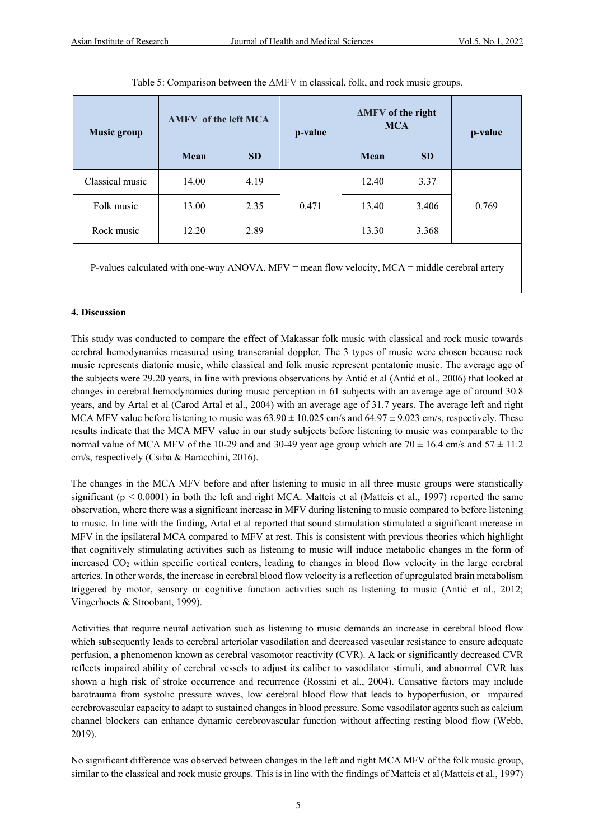| <b>Music group</b>                                                                               | <b>AMFV</b> of the left MCA |           | p-value | <b>AMFV</b> of the right<br><b>MCA</b> |           | p-value |
|--------------------------------------------------------------------------------------------------|-----------------------------|-----------|---------|----------------------------------------|-----------|---------|
|                                                                                                  | Mean                        | <b>SD</b> |         | Mean                                   | <b>SD</b> |         |
| Classical music                                                                                  | 14.00                       | 4.19      | 0.471   | 12.40                                  | 3.37      | 0.769   |
| Folk music                                                                                       | 13.00                       | 2.35      |         | 13.40                                  | 3.406     |         |
| Rock music                                                                                       | 12.20                       | 2.89      |         | 13.30                                  | 3.368     |         |
| P-values calculated with one-way ANOVA. MFV = mean flow velocity, $MCA$ = middle cerebral artery |                             |           |         |                                        |           |         |

Table 5: Comparison between the ΔMFV in classical, folk, and rock music groups.

## **4. Discussion**

This study was conducted to compare the effect of Makassar folk music with classical and rock music towards cerebral hemodynamics measured using transcranial doppler. The 3 types of music were chosen because rock music represents diatonic music, while classical and folk music represent pentatonic music. The average age of the subjects were 29.20 years, in line with previous observations by Antić et al (Antić et al., 2006) that looked at changes in cerebral hemodynamics during music perception in 61 subjects with an average age of around 30.8 years, and by Artal et al (Carod Artal et al., 2004) with an average age of 31.7 years. The average left and right MCA MFV value before listening to music was  $63.90 \pm 10.025$  cm/s and  $64.97 \pm 9.023$  cm/s, respectively. These results indicate that the MCA MFV value in our study subjects before listening to music was comparable to the normal value of MCA MFV of the 10-29 and and 30-49 year age group which are  $70 \pm 16.4$  cm/s and  $57 \pm 11.2$ cm/s, respectively (Csiba & Baracchini, 2016).

The changes in the MCA MFV before and after listening to music in all three music groups were statistically significant ( $p < 0.0001$ ) in both the left and right MCA. Matteis et al (Matteis et al., 1997) reported the same observation, where there was a significant increase in MFV during listening to music compared to before listening to music. In line with the finding, Artal et al reported that sound stimulation stimulated a significant increase in MFV in the ipsilateral MCA compared to MFV at rest. This is consistent with previous theories which highlight that cognitively stimulating activities such as listening to music will induce metabolic changes in the form of increased CO2 within specific cortical centers, leading to changes in blood flow velocity in the large cerebral arteries. In other words, the increase in cerebral blood flow velocity is a reflection of upregulated brain metabolism triggered by motor, sensory or cognitive function activities such as listening to music (Antić et al., 2012; Vingerhoets & Stroobant, 1999).

Activities that require neural activation such as listening to music demands an increase in cerebral blood flow which subsequently leads to cerebral arteriolar vasodilation and decreased vascular resistance to ensure adequate perfusion, a phenomenon known as cerebral vasomotor reactivity (CVR). A lack or significantly decreased CVR reflects impaired ability of cerebral vessels to adjust its caliber to vasodilator stimuli, and abnormal CVR has shown a high risk of stroke occurrence and recurrence (Rossini et al., 2004). Causative factors may include barotrauma from systolic pressure waves, low cerebral blood flow that leads to hypoperfusion, or impaired cerebrovascular capacity to adapt to sustained changes in blood pressure. Some vasodilator agents such as calcium channel blockers can enhance dynamic cerebrovascular function without affecting resting blood flow (Webb, 2019).

No significant difference was observed between changes in the left and right MCA MFV of the folk music group, similar to the classical and rock music groups. This is in line with the findings of Matteis et al(Matteis et al., 1997)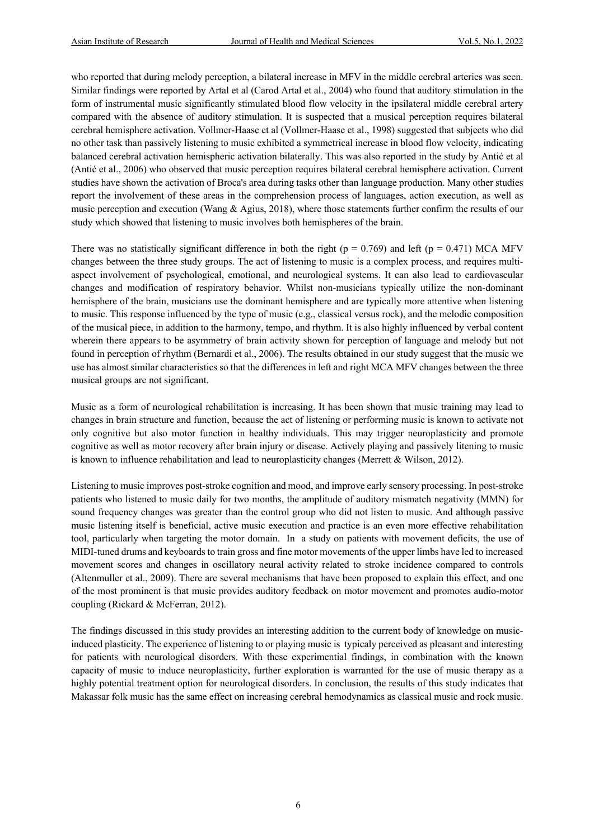who reported that during melody perception, a bilateral increase in MFV in the middle cerebral arteries was seen. Similar findings were reported by Artal et al (Carod Artal et al., 2004) who found that auditory stimulation in the form of instrumental music significantly stimulated blood flow velocity in the ipsilateral middle cerebral artery compared with the absence of auditory stimulation. It is suspected that a musical perception requires bilateral cerebral hemisphere activation. Vollmer-Haase et al (Vollmer-Haase et al., 1998) suggested that subjects who did no other task than passively listening to music exhibited a symmetrical increase in blood flow velocity, indicating balanced cerebral activation hemispheric activation bilaterally. This was also reported in the study by Antić et al (Antić et al., 2006) who observed that music perception requires bilateral cerebral hemisphere activation. Current studies have shown the activation of Broca's area during tasks other than language production. Many other studies report the involvement of these areas in the comprehension process of languages, action execution, as well as music perception and execution (Wang & Agius, 2018), where those statements further confirm the results of our study which showed that listening to music involves both hemispheres of the brain.

There was no statistically significant difference in both the right ( $p = 0.769$ ) and left ( $p = 0.471$ ) MCA MFV changes between the three study groups. The act of listening to music is a complex process, and requires multiaspect involvement of psychological, emotional, and neurological systems. It can also lead to cardiovascular changes and modification of respiratory behavior. Whilst non-musicians typically utilize the non-dominant hemisphere of the brain, musicians use the dominant hemisphere and are typically more attentive when listening to music. This response influenced by the type of music (e.g., classical versus rock), and the melodic composition of the musical piece, in addition to the harmony, tempo, and rhythm. It is also highly influenced by verbal content wherein there appears to be asymmetry of brain activity shown for perception of language and melody but not found in perception of rhythm (Bernardi et al., 2006). The results obtained in our study suggest that the music we use has almost similar characteristics so that the differences in left and right MCA MFV changes between the three musical groups are not significant.

Music as a form of neurological rehabilitation is increasing. It has been shown that music training may lead to changes in brain structure and function, because the act of listening or performing music is known to activate not only cognitive but also motor function in healthy individuals. This may trigger neuroplasticity and promote cognitive as well as motor recovery after brain injury or disease. Actively playing and passively litening to music is known to influence rehabilitation and lead to neuroplasticity changes (Merrett & Wilson, 2012).

Listening to music improves post-stroke cognition and mood, and improve early sensory processing. In post-stroke patients who listened to music daily for two months, the amplitude of auditory mismatch negativity (MMN) for sound frequency changes was greater than the control group who did not listen to music. And although passive music listening itself is beneficial, active music execution and practice is an even more effective rehabilitation tool, particularly when targeting the motor domain. In a study on patients with movement deficits, the use of MIDI-tuned drums and keyboards to train gross and fine motor movements of the upper limbs have led to increased movement scores and changes in oscillatory neural activity related to stroke incidence compared to controls (Altenmuller et al., 2009). There are several mechanisms that have been proposed to explain this effect, and one of the most prominent is that music provides auditory feedback on motor movement and promotes audio-motor coupling (Rickard & McFerran, 2012).

The findings discussed in this study provides an interesting addition to the current body of knowledge on musicinduced plasticity. The experience of listening to or playing music is typicaly perceived as pleasant and interesting for patients with neurological disorders. With these experimential findings, in combination with the known capacity of music to induce neuroplasticity, further exploration is warranted for the use of music therapy as a highly potential treatment option for neurological disorders. In conclusion, the results of this study indicates that Makassar folk music has the same effect on increasing cerebral hemodynamics as classical music and rock music.